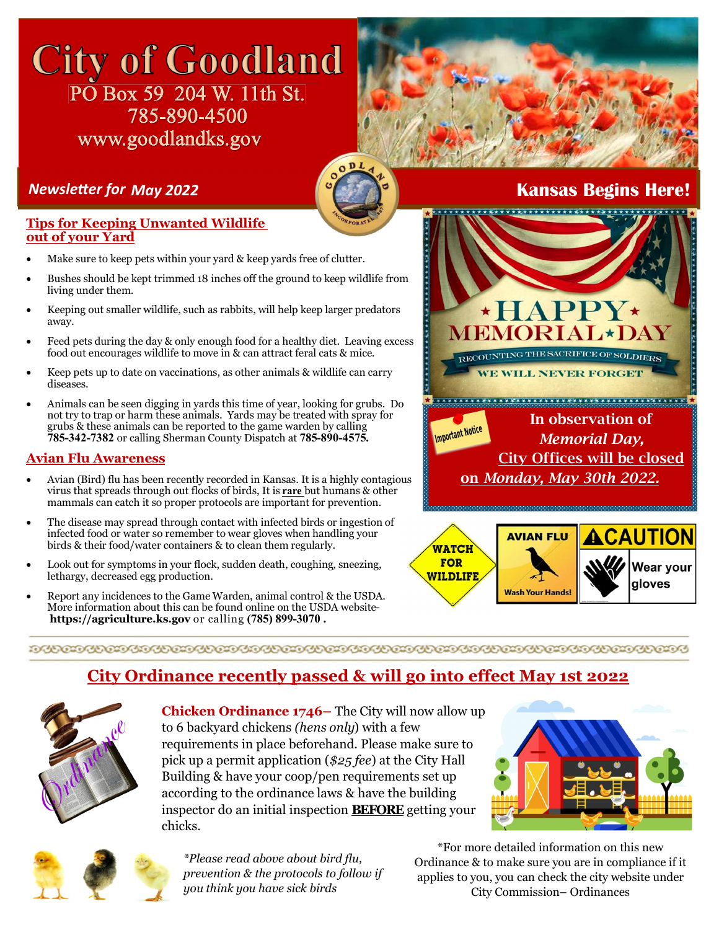## **City of Goodland** PO Box 59 204 W. 11th St. 785-890-4500 www.goodlandks.gov



#### **Tips for Keeping Unwanted Wildlife out of your Yard**

- Make sure to keep pets within your yard & keep yards free of clutter.
- Bushes should be kept trimmed 18 inches off the ground to keep wildlife from living under them.
- Keeping out smaller wildlife, such as rabbits, will help keep larger predators away.
- Feed pets during the day & only enough food for a healthy diet. Leaving excess food out encourages wildlife to move in & can attract feral cats & mice.
- Keep pets up to date on vaccinations, as other animals & wildlife can carry diseases.
- Animals can be seen digging in yards this time of year, looking for grubs. Do not try to trap or harm these animals. Yards may be treated with spray for grubs & these animals can be reported to the game warden by calling **785-342-7382** or calling Sherman County Dispatch at **785-890-4575.**

#### **Avian Flu Awareness**

- Avian (Bird) flu has been recently recorded in Kansas. It is a highly contagious virus that spreads through out flocks of birds, It is **rare** but humans & other mammals can catch it so proper protocols are important for prevention.
- The disease may spread through contact with infected birds or ingestion of infected food or water so remember to wear gloves when handling your birds & their food/water containers & to clean them regularly.
- Look out for symptoms in your flock, sudden death, coughing, sneezing, lethargy, decreased egg production.
- Report any incidences to the Game Warden, animal control & the USDA. More information about this can be found online on the USDA website**https://agriculture.ks.gov** or calling **(785) 899-3070 .**

## *NewsleƩer for May 2022* **Kansas Begins Here!**





#### 

### **City Ordinance recently passed & will go into effect May 1st 2022**



**Chicken Ordinance 1746–** The City will now allow up to 6 backyard chickens *(hens only*) with a few requirements in place beforehand. Please make sure to pick up a permit application (*\$25 fee*) at the City Hall Building & have your coop/pen requirements set up according to the ordinance laws & have the building inspector do an initial inspection **BEFORE** getting your chicks.





*\*Please read above about bird flu, prevention & the protocols to follow if you think you have sick birds*

\*For more detailed information on this new Ordinance & to make sure you are in compliance if it applies to you, you can check the city website under City Commission– Ordinances